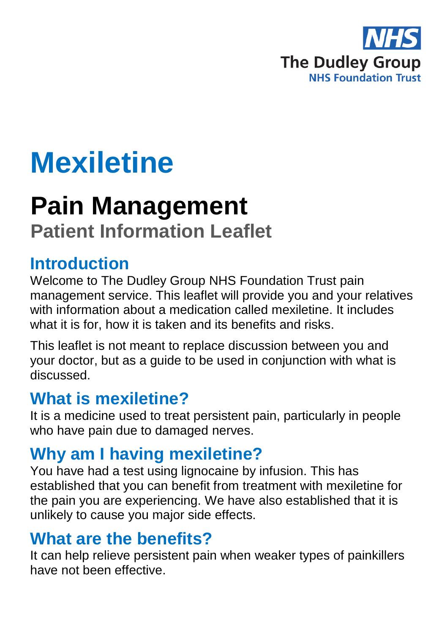

# **Mexiletine**

## **Pain Management**

**Patient Information Leaflet**

## **Introduction**

Welcome to The Dudley Group NHS Foundation Trust pain management service. This leaflet will provide you and your relatives with information about a medication called mexiletine. It includes what it is for, how it is taken and its benefits and risks.

This leaflet is not meant to replace discussion between you and your doctor, but as a guide to be used in conjunction with what is discussed.

## **What is mexiletine?**

It is a medicine used to treat persistent pain, particularly in people who have pain due to damaged nerves.

## **Why am I having mexiletine?**

You have had a test using lignocaine by infusion. This has established that you can benefit from treatment with mexiletine for the pain you are experiencing. We have also established that it is unlikely to cause you major side effects.

## **What are the benefits?**

It can help relieve persistent pain when weaker types of painkillers have not been effective.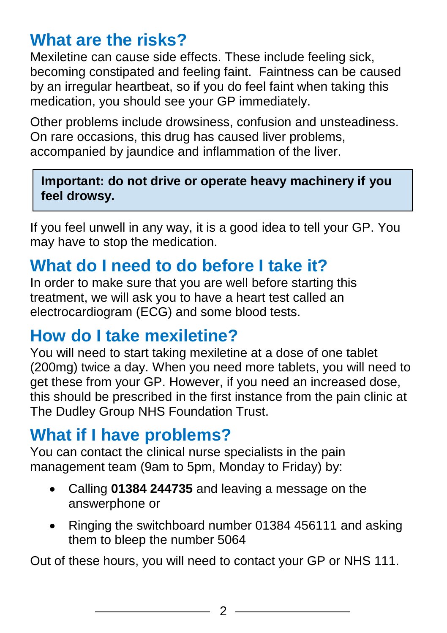## **What are the risks?**

Mexiletine can cause side effects. These include feeling sick, becoming constipated and feeling faint. Faintness can be caused by an irregular heartbeat, so if you do feel faint when taking this medication, you should see your GP immediately.

Other problems include drowsiness, confusion and unsteadiness. On rare occasions, this drug has caused liver problems, accompanied by jaundice and inflammation of the liver.

#### **Important: do not drive or operate heavy machinery if you feel drowsy.**

If you feel unwell in any way, it is a good idea to tell your GP. You may have to stop the medication.

## **What do I need to do before I take it?**

In order to make sure that you are well before starting this treatment, we will ask you to have a heart test called an electrocardiogram (ECG) and some blood tests.

## **How do I take mexiletine?**

You will need to start taking mexiletine at a dose of one tablet (200mg) twice a day. When you need more tablets, you will need to get these from your GP. However, if you need an increased dose, this should be prescribed in the first instance from the pain clinic at The Dudley Group NHS Foundation Trust.

## **What if I have problems?**

You can contact the clinical nurse specialists in the pain management team (9am to 5pm, Monday to Friday) by:

- Calling **01384 244735** and leaving a message on the answerphone or
- Ringing the switchboard number 01384 456111 and asking them to bleep the number 5064

Out of these hours, you will need to contact your GP or NHS 111.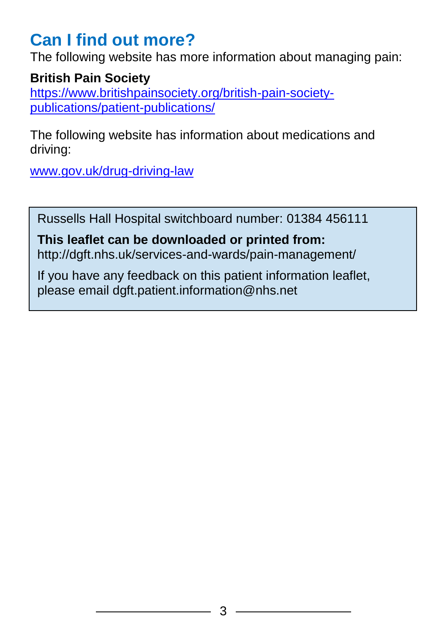## **Can I find out more?**

The following website has more information about managing pain:

#### **British Pain Society**

[https://www.britishpainsociety.org/british-pain-society](https://www.britishpainsociety.org/british-pain-society-publications/patient-publications/)[publications/patient-publications/](https://www.britishpainsociety.org/british-pain-society-publications/patient-publications/)

The following website has information about medications and driving:

[www.gov.uk/drug-driving-law](file://///dgohbrkfile/Foundation_Team$/Patient%20Information/Patient%20Information%20Leaflets/Patient%20Information%20Under%20Review/Leaflets%20with%20changes%20in%20progress/Pain%20management%20review_files/www.gov.uk/drug-driving-law)

Russells Hall Hospital switchboard number: 01384 456111

#### **This leaflet can be downloaded or printed from:** http://dgft.nhs.uk/services-and-wards/pain-management/

If you have any feedback on this patient information leaflet, please email dgft.patient.information@nhs.net